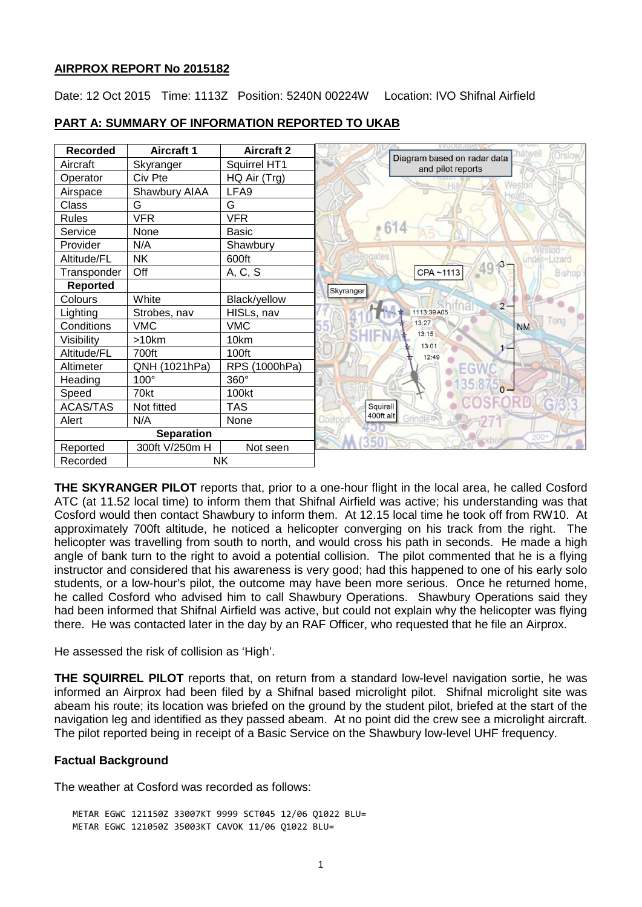### **AIRPROX REPORT No 2015182**

Date: 12 Oct 2015 Time: 1113Z Position: 5240N 00224W Location: IVO Shifnal Airfield



## **PART A: SUMMARY OF INFORMATION REPORTED TO UKAB**

**THE SKYRANGER PILOT** reports that, prior to a one-hour flight in the local area, he called Cosford ATC (at 11.52 local time) to inform them that Shifnal Airfield was active; his understanding was that Cosford would then contact Shawbury to inform them. At 12.15 local time he took off from RW10. At approximately 700ft altitude, he noticed a helicopter converging on his track from the right. The helicopter was travelling from south to north, and would cross his path in seconds. He made a high angle of bank turn to the right to avoid a potential collision. The pilot commented that he is a flying instructor and considered that his awareness is very good; had this happened to one of his early solo students, or a low-hour's pilot, the outcome may have been more serious. Once he returned home, he called Cosford who advised him to call Shawbury Operations. Shawbury Operations said they had been informed that Shifnal Airfield was active, but could not explain why the helicopter was flying there. He was contacted later in the day by an RAF Officer, who requested that he file an Airprox.

He assessed the risk of collision as 'High'.

**THE SQUIRREL PILOT** reports that, on return from a standard low-level navigation sortie, he was informed an Airprox had been filed by a Shifnal based microlight pilot. Shifnal microlight site was abeam his route; its location was briefed on the ground by the student pilot, briefed at the start of the navigation leg and identified as they passed abeam. At no point did the crew see a microlight aircraft. The pilot reported being in receipt of a Basic Service on the Shawbury low-level UHF frequency.

# **Factual Background**

The weather at Cosford was recorded as follows:

METAR EGWC 121150Z 33007KT 9999 SCT045 12/06 Q1022 BLU= METAR EGWC 121050Z 35003KT CAVOK 11/06 Q1022 BLU=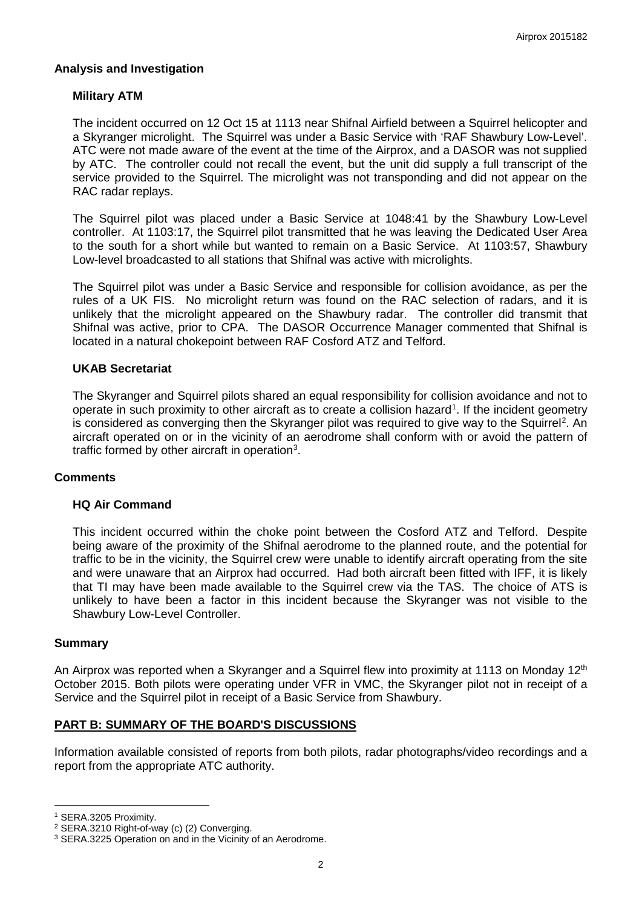### **Analysis and Investigation**

## **Military ATM**

The incident occurred on 12 Oct 15 at 1113 near Shifnal Airfield between a Squirrel helicopter and a Skyranger microlight. The Squirrel was under a Basic Service with 'RAF Shawbury Low-Level'. ATC were not made aware of the event at the time of the Airprox, and a DASOR was not supplied by ATC. The controller could not recall the event, but the unit did supply a full transcript of the service provided to the Squirrel. The microlight was not transponding and did not appear on the RAC radar replays.

The Squirrel pilot was placed under a Basic Service at 1048:41 by the Shawbury Low-Level controller. At 1103:17, the Squirrel pilot transmitted that he was leaving the Dedicated User Area to the south for a short while but wanted to remain on a Basic Service. At 1103:57, Shawbury Low-level broadcasted to all stations that Shifnal was active with microlights.

The Squirrel pilot was under a Basic Service and responsible for collision avoidance, as per the rules of a UK FIS. No microlight return was found on the RAC selection of radars, and it is unlikely that the microlight appeared on the Shawbury radar. The controller did transmit that Shifnal was active, prior to CPA. The DASOR Occurrence Manager commented that Shifnal is located in a natural chokepoint between RAF Cosford ATZ and Telford.

#### **UKAB Secretariat**

The Skyranger and Squirrel pilots shared an equal responsibility for collision avoidance and not to operate in such proximity to other aircraft as to create a collision hazard<sup>[1](#page-1-0)</sup>. If the incident geometry is considered as converging then the Skyranger pilot was required to give way to the Squirrel<sup>[2](#page-1-1)</sup>. An aircraft operated on or in the vicinity of an aerodrome shall conform with or avoid the pattern of traffic formed by other aircraft in operation<sup>[3](#page-1-2)</sup>.

#### **Comments**

#### **HQ Air Command**

This incident occurred within the choke point between the Cosford ATZ and Telford. Despite being aware of the proximity of the Shifnal aerodrome to the planned route, and the potential for traffic to be in the vicinity, the Squirrel crew were unable to identify aircraft operating from the site and were unaware that an Airprox had occurred. Had both aircraft been fitted with IFF, it is likely that TI may have been made available to the Squirrel crew via the TAS. The choice of ATS is unlikely to have been a factor in this incident because the Skyranger was not visible to the Shawbury Low-Level Controller.

#### **Summary**

An Airprox was reported when a Skyranger and a Squirrel flew into proximity at 1113 on Monday 12<sup>th</sup> October 2015. Both pilots were operating under VFR in VMC, the Skyranger pilot not in receipt of a Service and the Squirrel pilot in receipt of a Basic Service from Shawbury.

# **PART B: SUMMARY OF THE BOARD'S DISCUSSIONS**

Information available consisted of reports from both pilots, radar photographs/video recordings and a report from the appropriate ATC authority.

 $\overline{\phantom{a}}$ 

<span id="page-1-0"></span><sup>1</sup> SERA.3205 Proximity.

<span id="page-1-1"></span><sup>2</sup> SERA.3210 Right-of-way (c) (2) Converging.

<span id="page-1-2"></span><sup>&</sup>lt;sup>3</sup> SERA.3225 Operation on and in the Vicinity of an Aerodrome.